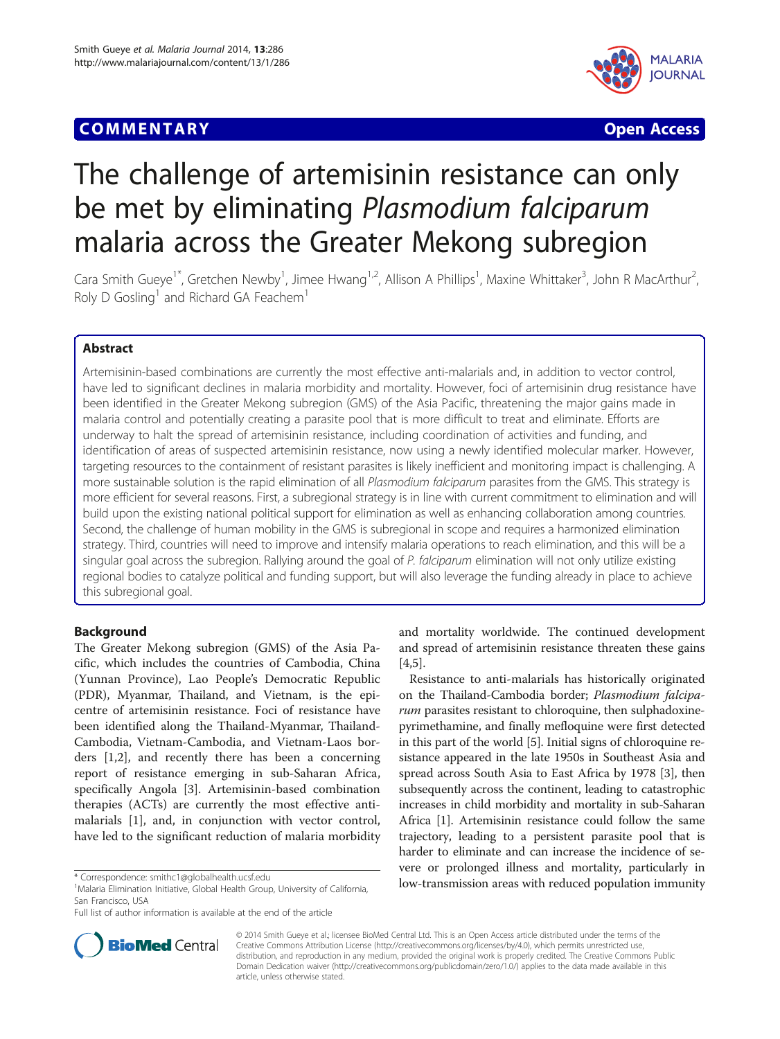## **COMMENTARY COMMENTARY COMMENTARY**



# The challenge of artemisinin resistance can only be met by eliminating Plasmodium falciparum malaria across the Greater Mekong subregion

Cara Smith Gueye<sup>1\*</sup>, Gretchen Newby<sup>1</sup>, Jimee Hwang<sup>1,2</sup>, Allison A Phillips<sup>1</sup>, Maxine Whittaker<sup>3</sup>, John R MacArthur<sup>2</sup> , Roly D Gosling<sup>1</sup> and Richard GA Feachem<sup>1</sup>

## Abstract

Artemisinin-based combinations are currently the most effective anti-malarials and, in addition to vector control, have led to significant declines in malaria morbidity and mortality. However, foci of artemisinin drug resistance have been identified in the Greater Mekong subregion (GMS) of the Asia Pacific, threatening the major gains made in malaria control and potentially creating a parasite pool that is more difficult to treat and eliminate. Efforts are underway to halt the spread of artemisinin resistance, including coordination of activities and funding, and identification of areas of suspected artemisinin resistance, now using a newly identified molecular marker. However, targeting resources to the containment of resistant parasites is likely inefficient and monitoring impact is challenging. A more sustainable solution is the rapid elimination of all Plasmodium falciparum parasites from the GMS. This strategy is more efficient for several reasons. First, a subregional strategy is in line with current commitment to elimination and will build upon the existing national political support for elimination as well as enhancing collaboration among countries. Second, the challenge of human mobility in the GMS is subregional in scope and requires a harmonized elimination strategy. Third, countries will need to improve and intensify malaria operations to reach elimination, and this will be a singular goal across the subregion. Rallying around the goal of P. falciparum elimination will not only utilize existing regional bodies to catalyze political and funding support, but will also leverage the funding already in place to achieve this subregional goal.

## Background

The Greater Mekong subregion (GMS) of the Asia Pacific, which includes the countries of Cambodia, China (Yunnan Province), Lao People's Democratic Republic (PDR), Myanmar, Thailand, and Vietnam, is the epicentre of artemisinin resistance. Foci of resistance have been identified along the Thailand-Myanmar, Thailand-Cambodia, Vietnam-Cambodia, and Vietnam-Laos borders [[1](#page-3-0),[2\]](#page-3-0), and recently there has been a concerning report of resistance emerging in sub-Saharan Africa, specifically Angola [\[3](#page-3-0)]. Artemisinin-based combination therapies (ACTs) are currently the most effective antimalarials [\[1](#page-3-0)], and, in conjunction with vector control, have led to the significant reduction of malaria morbidity

and mortality worldwide. The continued development and spread of artemisinin resistance threaten these gains [[4,5\]](#page-3-0).

Resistance to anti-malarials has historically originated on the Thailand-Cambodia border; Plasmodium falciparum parasites resistant to chloroquine, then sulphadoxinepyrimethamine, and finally mefloquine were first detected in this part of the world [\[5](#page-3-0)]. Initial signs of chloroquine resistance appeared in the late 1950s in Southeast Asia and spread across South Asia to East Africa by 1978 [\[3](#page-3-0)], then subsequently across the continent, leading to catastrophic increases in child morbidity and mortality in sub-Saharan Africa [\[1](#page-3-0)]. Artemisinin resistance could follow the same trajectory, leading to a persistent parasite pool that is harder to eliminate and can increase the incidence of severe or prolonged illness and mortality, particularly in \* Correspondence: [smithc1@globalhealth.ucsf.edu](mailto:smithc1@globalhealth.ucsf.edu) **1998**<br><sup>1</sup>Malaria Elimination Initiative Global Health Group University of California **100V-transmission areas with reduced population immunity** 



© 2014 Smith Gueye et al.; licensee BioMed Central Ltd. This is an Open Access article distributed under the terms of the Creative Commons Attribution License (<http://creativecommons.org/licenses/by/4.0>), which permits unrestricted use, distribution, and reproduction in any medium, provided the original work is properly credited. The Creative Commons Public Domain Dedication waiver [\(http://creativecommons.org/publicdomain/zero/1.0/\)](http://creativecommons.org/publicdomain/zero/1.0/) applies to the data made available in this article, unless otherwise stated.

<sup>&</sup>lt;sup>1</sup>Malaria Elimination Initiative, Global Health Group, University of California, San Francisco, USA

Full list of author information is available at the end of the article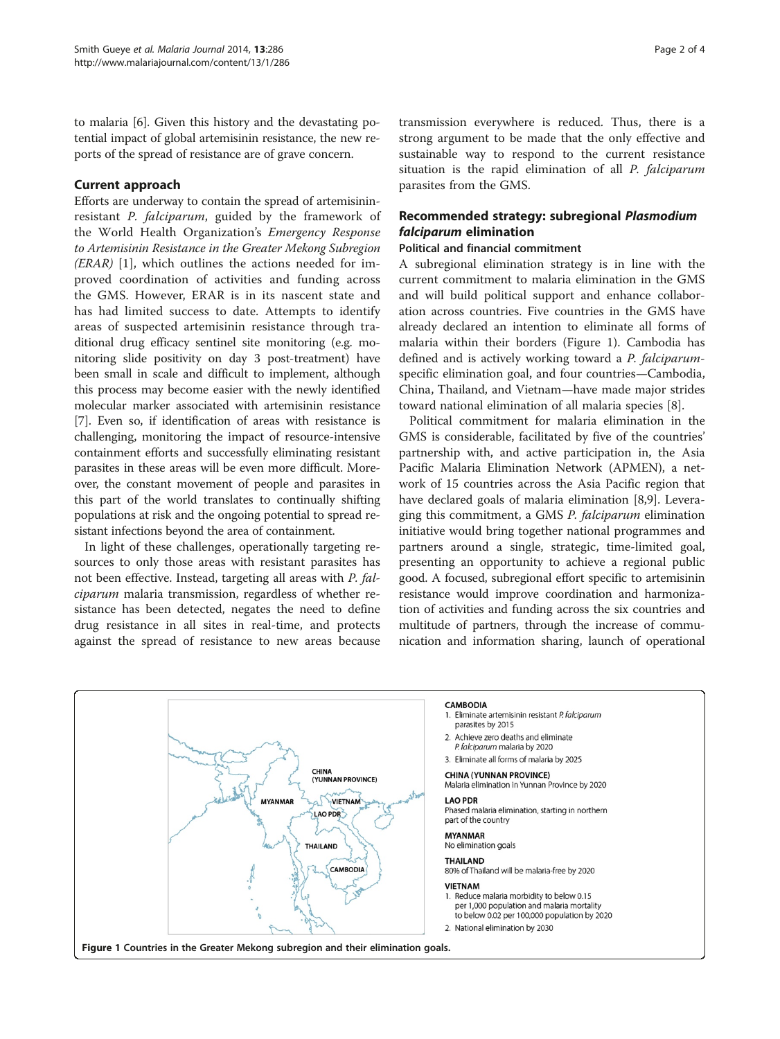to malaria [\[6](#page-3-0)]. Given this history and the devastating potential impact of global artemisinin resistance, the new reports of the spread of resistance are of grave concern.

## Current approach

Efforts are underway to contain the spread of artemisininresistant P. falciparum, guided by the framework of the World Health Organization's Emergency Response to Artemisinin Resistance in the Greater Mekong Subregion (ERAR) [[1\]](#page-3-0), which outlines the actions needed for improved coordination of activities and funding across the GMS. However, ERAR is in its nascent state and has had limited success to date. Attempts to identify areas of suspected artemisinin resistance through traditional drug efficacy sentinel site monitoring (e.g. monitoring slide positivity on day 3 post-treatment) have been small in scale and difficult to implement, although this process may become easier with the newly identified molecular marker associated with artemisinin resistance [[7\]](#page-3-0). Even so, if identification of areas with resistance is challenging, monitoring the impact of resource-intensive containment efforts and successfully eliminating resistant parasites in these areas will be even more difficult. Moreover, the constant movement of people and parasites in this part of the world translates to continually shifting populations at risk and the ongoing potential to spread resistant infections beyond the area of containment.

In light of these challenges, operationally targeting resources to only those areas with resistant parasites has not been effective. Instead, targeting all areas with P. falciparum malaria transmission, regardless of whether resistance has been detected, negates the need to define drug resistance in all sites in real-time, and protects against the spread of resistance to new areas because transmission everywhere is reduced. Thus, there is a strong argument to be made that the only effective and sustainable way to respond to the current resistance situation is the rapid elimination of all P. falciparum parasites from the GMS.

## Recommended strategy: subregional Plasmodium falciparum elimination

## Political and financial commitment

A subregional elimination strategy is in line with the current commitment to malaria elimination in the GMS and will build political support and enhance collaboration across countries. Five countries in the GMS have already declared an intention to eliminate all forms of malaria within their borders (Figure 1). Cambodia has defined and is actively working toward a P. falciparumspecific elimination goal, and four countries—Cambodia, China, Thailand, and Vietnam—have made major strides toward national elimination of all malaria species [[8\]](#page-3-0).

Political commitment for malaria elimination in the GMS is considerable, facilitated by five of the countries' partnership with, and active participation in, the Asia Pacific Malaria Elimination Network (APMEN), a network of 15 countries across the Asia Pacific region that have declared goals of malaria elimination [\[8,9](#page-3-0)]. Leveraging this commitment, a GMS P. falciparum elimination initiative would bring together national programmes and partners around a single, strategic, time-limited goal, presenting an opportunity to achieve a regional public good. A focused, subregional effort specific to artemisinin resistance would improve coordination and harmonization of activities and funding across the six countries and multitude of partners, through the increase of communication and information sharing, launch of operational

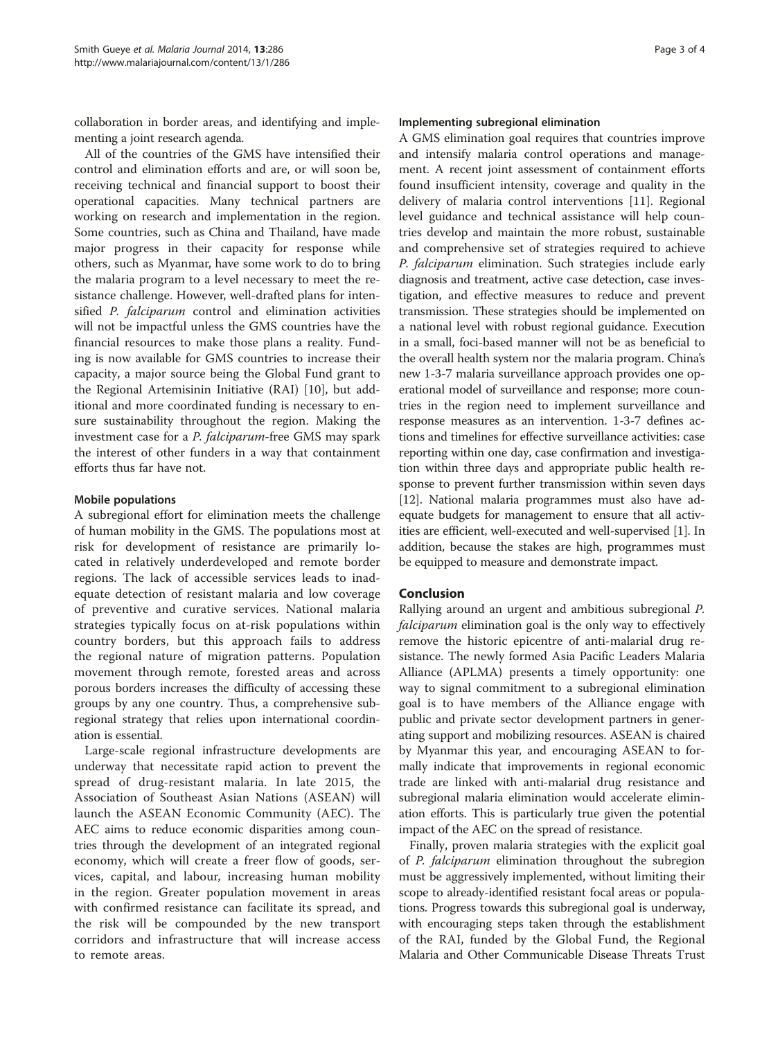collaboration in border areas, and identifying and implementing a joint research agenda.

All of the countries of the GMS have intensified their control and elimination efforts and are, or will soon be, receiving technical and financial support to boost their operational capacities. Many technical partners are working on research and implementation in the region. Some countries, such as China and Thailand, have made major progress in their capacity for response while others, such as Myanmar, have some work to do to bring the malaria program to a level necessary to meet the resistance challenge. However, well-drafted plans for intensified P. falciparum control and elimination activities will not be impactful unless the GMS countries have the financial resources to make those plans a reality. Funding is now available for GMS countries to increase their capacity, a major source being the Global Fund grant to the Regional Artemisinin Initiative (RAI) [\[10](#page-3-0)], but additional and more coordinated funding is necessary to ensure sustainability throughout the region. Making the investment case for a P. falciparum-free GMS may spark the interest of other funders in a way that containment efforts thus far have not.

## Mobile populations

A subregional effort for elimination meets the challenge of human mobility in the GMS. The populations most at risk for development of resistance are primarily located in relatively underdeveloped and remote border regions. The lack of accessible services leads to inadequate detection of resistant malaria and low coverage of preventive and curative services. National malaria strategies typically focus on at-risk populations within country borders, but this approach fails to address the regional nature of migration patterns. Population movement through remote, forested areas and across porous borders increases the difficulty of accessing these groups by any one country. Thus, a comprehensive subregional strategy that relies upon international coordination is essential.

Large-scale regional infrastructure developments are underway that necessitate rapid action to prevent the spread of drug-resistant malaria. In late 2015, the Association of Southeast Asian Nations (ASEAN) will launch the ASEAN Economic Community (AEC). The AEC aims to reduce economic disparities among countries through the development of an integrated regional economy, which will create a freer flow of goods, services, capital, and labour, increasing human mobility in the region. Greater population movement in areas with confirmed resistance can facilitate its spread, and the risk will be compounded by the new transport corridors and infrastructure that will increase access to remote areas.

#### Implementing subregional elimination

A GMS elimination goal requires that countries improve and intensify malaria control operations and management. A recent joint assessment of containment efforts found insufficient intensity, coverage and quality in the delivery of malaria control interventions [[11\]](#page-3-0). Regional level guidance and technical assistance will help countries develop and maintain the more robust, sustainable and comprehensive set of strategies required to achieve P. falciparum elimination. Such strategies include early diagnosis and treatment, active case detection, case investigation, and effective measures to reduce and prevent transmission. These strategies should be implemented on a national level with robust regional guidance. Execution in a small, foci-based manner will not be as beneficial to the overall health system nor the malaria program. China's new 1-3-7 malaria surveillance approach provides one operational model of surveillance and response; more countries in the region need to implement surveillance and response measures as an intervention. 1-3-7 defines actions and timelines for effective surveillance activities: case reporting within one day, case confirmation and investigation within three days and appropriate public health response to prevent further transmission within seven days [[12](#page-3-0)]. National malaria programmes must also have adequate budgets for management to ensure that all activities are efficient, well-executed and well-supervised [\[1](#page-3-0)]. In addition, because the stakes are high, programmes must be equipped to measure and demonstrate impact.

## Conclusion

Rallying around an urgent and ambitious subregional P. falciparum elimination goal is the only way to effectively remove the historic epicentre of anti-malarial drug resistance. The newly formed Asia Pacific Leaders Malaria Alliance (APLMA) presents a timely opportunity: one way to signal commitment to a subregional elimination goal is to have members of the Alliance engage with public and private sector development partners in generating support and mobilizing resources. ASEAN is chaired by Myanmar this year, and encouraging ASEAN to formally indicate that improvements in regional economic trade are linked with anti-malarial drug resistance and subregional malaria elimination would accelerate elimination efforts. This is particularly true given the potential impact of the AEC on the spread of resistance.

Finally, proven malaria strategies with the explicit goal of P. falciparum elimination throughout the subregion must be aggressively implemented, without limiting their scope to already-identified resistant focal areas or populations. Progress towards this subregional goal is underway, with encouraging steps taken through the establishment of the RAI, funded by the Global Fund, the Regional Malaria and Other Communicable Disease Threats Trust